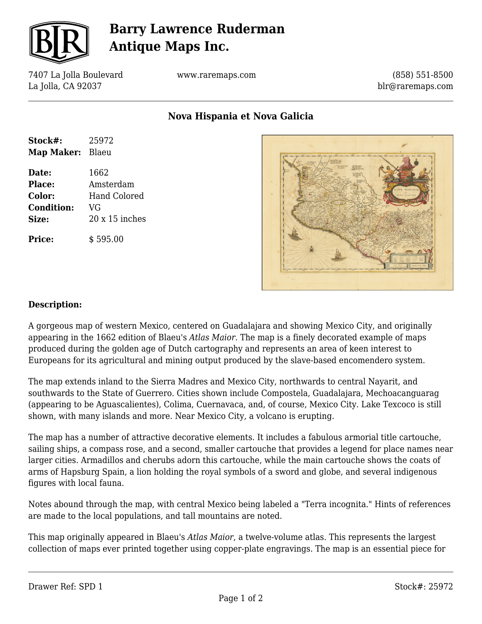

## **Barry Lawrence Ruderman Antique Maps Inc.**

7407 La Jolla Boulevard La Jolla, CA 92037

www.raremaps.com

(858) 551-8500 blr@raremaps.com

**Nova Hispania et Nova Galicia**

| Stock#:           | 25972                 |
|-------------------|-----------------------|
| Map Maker: Blaeu  |                       |
| Date:             | 1662                  |
| Place:            | Amsterdam             |
| Color:            | Hand Colored          |
| <b>Condition:</b> | VG                    |
| Size:             | $20 \times 15$ inches |
| <b>Price:</b>     | \$595.00              |



## **Description:**

A gorgeous map of western Mexico, centered on Guadalajara and showing Mexico City, and originally appearing in the 1662 edition of Blaeu's *Atlas Maior*. The map is a finely decorated example of maps produced during the golden age of Dutch cartography and represents an area of keen interest to Europeans for its agricultural and mining output produced by the slave-based encomendero system.

The map extends inland to the Sierra Madres and Mexico City, northwards to central Nayarit, and southwards to the State of Guerrero. Cities shown include Compostela, Guadalajara, Mechoacanguarag (appearing to be Aguascalientes), Colima, Cuernavaca, and, of course, Mexico City. Lake Texcoco is still shown, with many islands and more. Near Mexico City, a volcano is erupting.

The map has a number of attractive decorative elements. It includes a fabulous armorial title cartouche, sailing ships, a compass rose, and a second, smaller cartouche that provides a legend for place names near larger cities. Armadillos and cherubs adorn this cartouche, while the main cartouche shows the coats of arms of Hapsburg Spain, a lion holding the royal symbols of a sword and globe, and several indigenous figures with local fauna.

Notes abound through the map, with central Mexico being labeled a "Terra incognita." Hints of references are made to the local populations, and tall mountains are noted.

This map originally appeared in Blaeu's *Atlas Maior*, a twelve-volume atlas. This represents the largest collection of maps ever printed together using copper-plate engravings. The map is an essential piece for